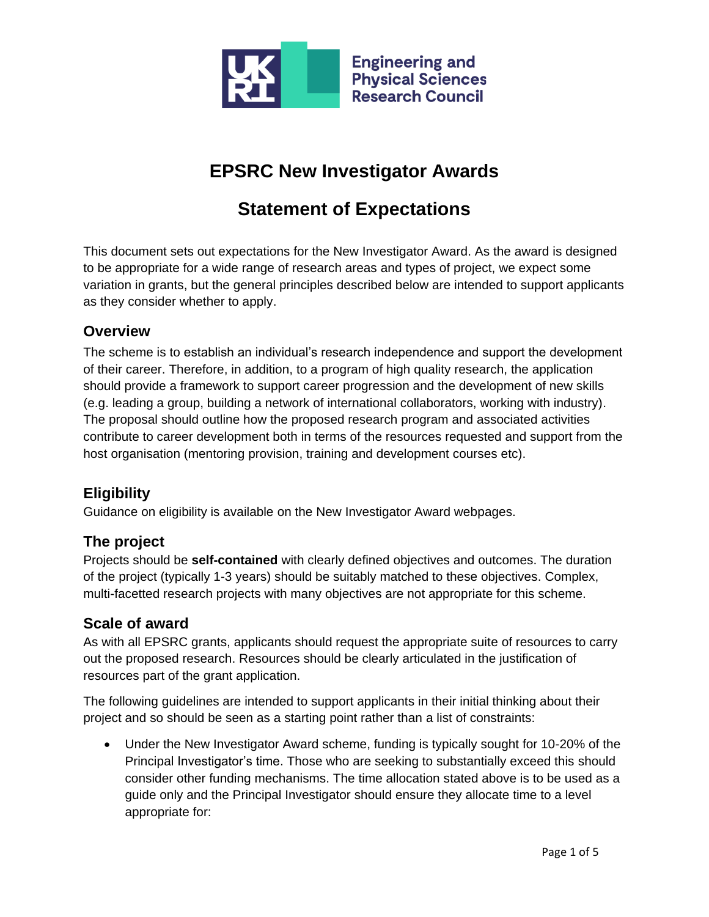

# **EPSRC New Investigator Awards**

# **Statement of Expectations**

This document sets out expectations for the New Investigator Award. As the award is designed to be appropriate for a wide range of research areas and types of project, we expect some variation in grants, but the general principles described below are intended to support applicants as they consider whether to apply.

#### **Overview**

The scheme is to establish an individual's research independence and support the development of their career. Therefore, in addition, to a program of high quality research, the application should provide a framework to support career progression and the development of new skills (e.g. leading a group, building a network of international collaborators, working with industry). The proposal should outline how the proposed research program and associated activities contribute to career development both in terms of the resources requested and support from the host organisation (mentoring provision, training and development courses etc).

## **Eligibility**

Guidance on eligibility is available on the New Investigator Award webpages.

## **The project**

Projects should be **self-contained** with clearly defined objectives and outcomes. The duration of the project (typically 1-3 years) should be suitably matched to these objectives. Complex, multi-facetted research projects with many objectives are not appropriate for this scheme.

## **Scale of award**

As with all EPSRC grants, applicants should request the appropriate suite of resources to carry out the proposed research. Resources should be clearly articulated in the justification of resources part of the grant application.

The following guidelines are intended to support applicants in their initial thinking about their project and so should be seen as a starting point rather than a list of constraints:

• Under the New Investigator Award scheme, funding is typically sought for 10-20% of the Principal Investigator's time. Those who are seeking to substantially exceed this should consider other funding mechanisms. The time allocation stated above is to be used as a guide only and the Principal Investigator should ensure they allocate time to a level appropriate for: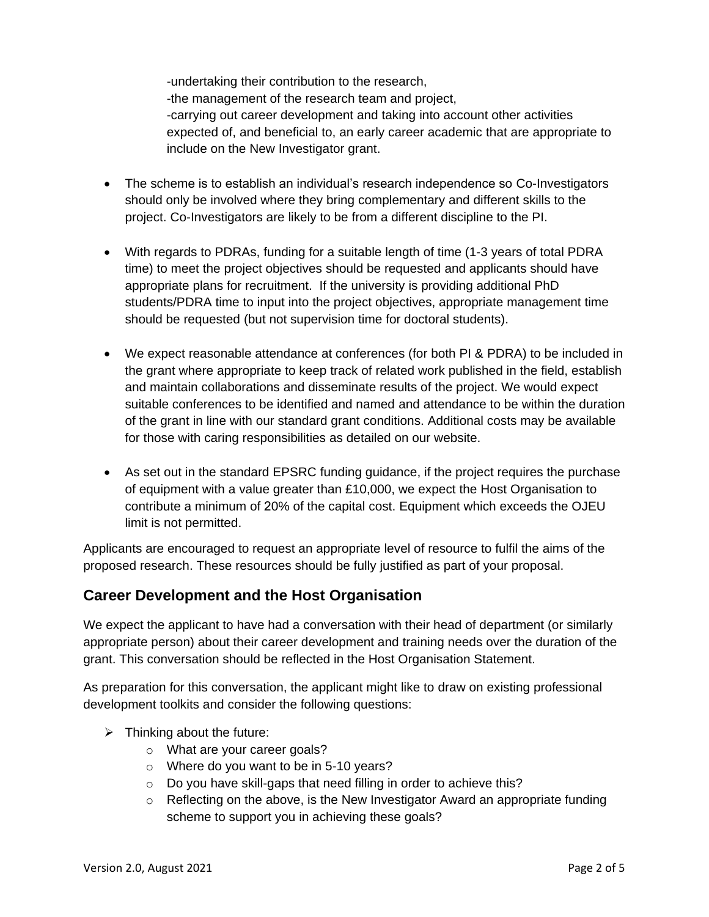-undertaking their contribution to the research, -the management of the research team and project, -carrying out career development and taking into account other activities expected of, and beneficial to, an early career academic that are appropriate to include on the New Investigator grant.

- The scheme is to establish an individual's research independence so Co-Investigators should only be involved where they bring complementary and different skills to the project. Co-Investigators are likely to be from a different discipline to the PI.
- With regards to PDRAs, funding for a suitable length of time (1-3 years of total PDRA time) to meet the project objectives should be requested and applicants should have appropriate plans for recruitment. If the university is providing additional PhD students/PDRA time to input into the project objectives, appropriate management time should be requested (but not supervision time for doctoral students).
- We expect reasonable attendance at conferences (for both PI & PDRA) to be included in the grant where appropriate to keep track of related work published in the field, establish and maintain collaborations and disseminate results of the project. We would expect suitable conferences to be identified and named and attendance to be within the duration of the grant in line with our standard grant conditions. Additional costs may be available for those with caring responsibilities as detailed on our website.
- As set out in the standard EPSRC funding guidance, if the project requires the purchase of equipment with a value greater than £10,000, we expect the Host Organisation to contribute a minimum of 20% of the capital cost. Equipment which exceeds the OJEU limit is not permitted.

Applicants are encouraged to request an appropriate level of resource to fulfil the aims of the proposed research. These resources should be fully justified as part of your proposal.

## **Career Development and the Host Organisation**

We expect the applicant to have had a conversation with their head of department (or similarly appropriate person) about their career development and training needs over the duration of the grant. This conversation should be reflected in the Host Organisation Statement.

As preparation for this conversation, the applicant might like to draw on existing professional development toolkits and consider the following questions:

- $\triangleright$  Thinking about the future:
	- o What are your career goals?
	- o Where do you want to be in 5-10 years?
	- o Do you have skill-gaps that need filling in order to achieve this?
	- $\circ$  Reflecting on the above, is the New Investigator Award an appropriate funding scheme to support you in achieving these goals?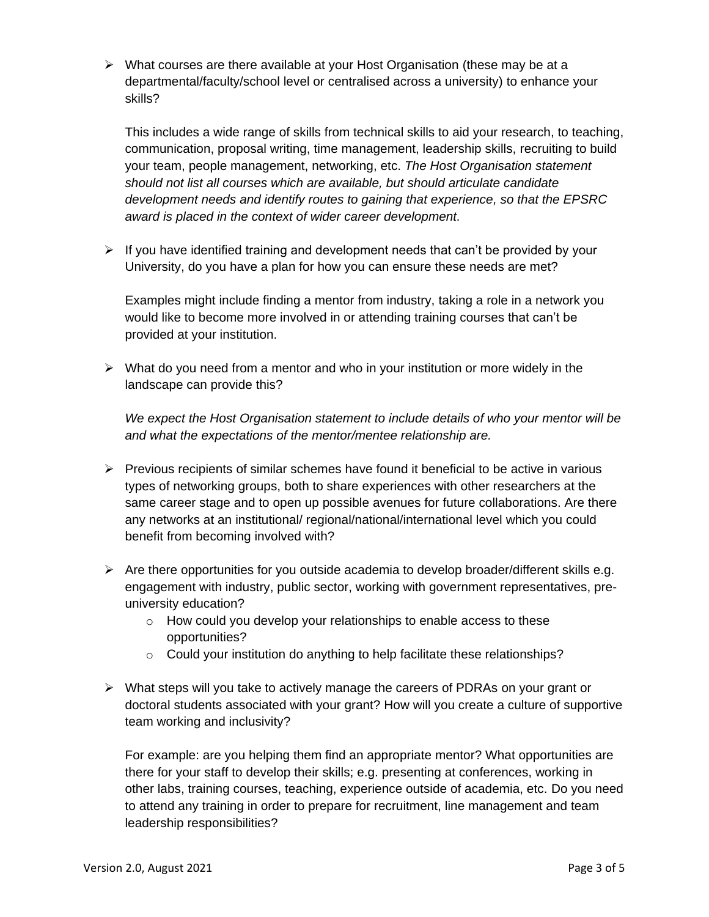$\triangleright$  What courses are there available at your Host Organisation (these may be at a departmental/faculty/school level or centralised across a university) to enhance your skills?

This includes a wide range of skills from technical skills to aid your research, to teaching, communication, proposal writing, time management, leadership skills, recruiting to build your team, people management, networking, etc. *The Host Organisation statement should not list all courses which are available, but should articulate candidate development needs and identify routes to gaining that experience, so that the EPSRC award is placed in the context of wider career development.*

 $\triangleright$  If you have identified training and development needs that can't be provided by your University, do you have a plan for how you can ensure these needs are met?

Examples might include finding a mentor from industry, taking a role in a network you would like to become more involved in or attending training courses that can't be provided at your institution.

 $\triangleright$  What do you need from a mentor and who in your institution or more widely in the landscape can provide this?

*We expect the Host Organisation statement to include details of who your mentor will be and what the expectations of the mentor/mentee relationship are.*

- $\triangleright$  Previous recipients of similar schemes have found it beneficial to be active in various types of networking groups, both to share experiences with other researchers at the same career stage and to open up possible avenues for future collaborations. Are there any networks at an institutional/ regional/national/international level which you could benefit from becoming involved with?
- $\triangleright$  Are there opportunities for you outside academia to develop broader/different skills e.g. engagement with industry, public sector, working with government representatives, preuniversity education?
	- o How could you develop your relationships to enable access to these opportunities?
	- o Could your institution do anything to help facilitate these relationships?
- ➢ What steps will you take to actively manage the careers of PDRAs on your grant or doctoral students associated with your grant? How will you create a culture of supportive team working and inclusivity?

For example: are you helping them find an appropriate mentor? What opportunities are there for your staff to develop their skills; e.g. presenting at conferences, working in other labs, training courses, teaching, experience outside of academia, etc. Do you need to attend any training in order to prepare for recruitment, line management and team leadership responsibilities?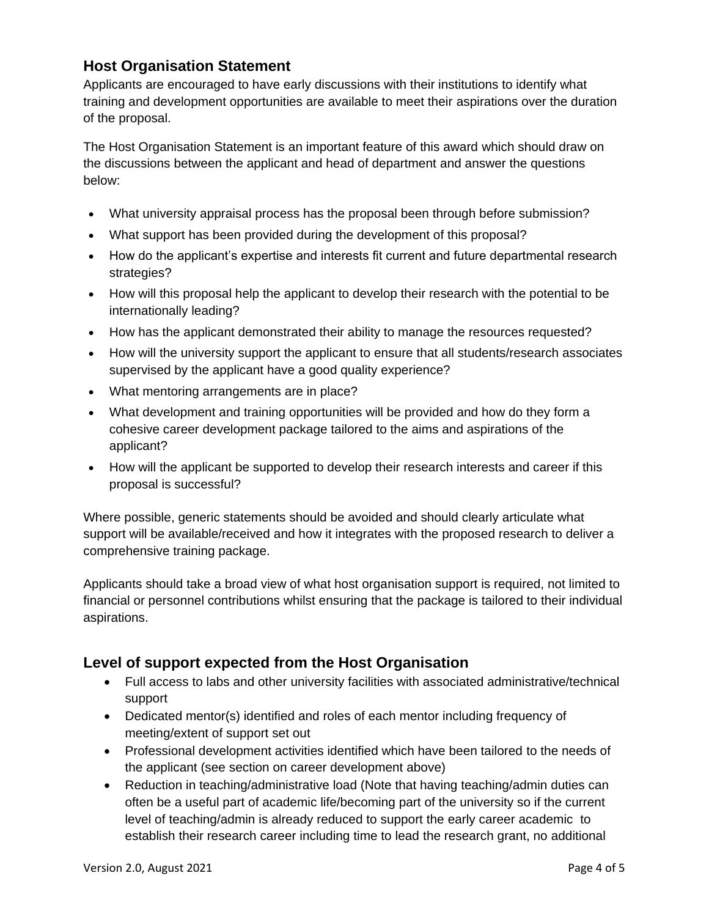## **Host Organisation Statement**

Applicants are encouraged to have early discussions with their institutions to identify what training and development opportunities are available to meet their aspirations over the duration of the proposal.

The Host Organisation Statement is an important feature of this award which should draw on the discussions between the applicant and head of department and answer the questions below:

- What university appraisal process has the proposal been through before submission?
- What support has been provided during the development of this proposal?
- How do the applicant's expertise and interests fit current and future departmental research strategies?
- How will this proposal help the applicant to develop their research with the potential to be internationally leading?
- How has the applicant demonstrated their ability to manage the resources requested?
- How will the university support the applicant to ensure that all students/research associates supervised by the applicant have a good quality experience?
- What mentoring arrangements are in place?
- What development and training opportunities will be provided and how do they form a cohesive career development package tailored to the aims and aspirations of the applicant?
- How will the applicant be supported to develop their research interests and career if this proposal is successful?

Where possible, generic statements should be avoided and should clearly articulate what support will be available/received and how it integrates with the proposed research to deliver a comprehensive training package.

Applicants should take a broad view of what host organisation support is required, not limited to financial or personnel contributions whilst ensuring that the package is tailored to their individual aspirations.

#### **Level of support expected from the Host Organisation**

- Full access to labs and other university facilities with associated administrative/technical support
- Dedicated mentor(s) identified and roles of each mentor including frequency of meeting/extent of support set out
- Professional development activities identified which have been tailored to the needs of the applicant (see section on career development above)
- Reduction in teaching/administrative load (Note that having teaching/admin duties can often be a useful part of academic life/becoming part of the university so if the current level of teaching/admin is already reduced to support the early career academic to establish their research career including time to lead the research grant, no additional